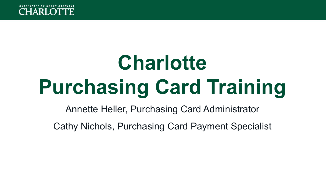

# **Charlotte Purchasing Card Training**

Annette Heller, Purchasing Card Administrator

Cathy Nichols, Purchasing Card Payment Specialist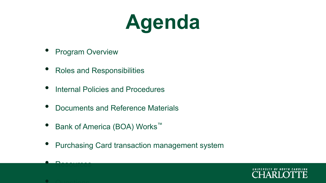## **Agenda**

- **Program Overview**
- Roles and Responsibilities
- Internal Policies and Procedures
- Documents and Reference Materials
- Bank of America (BOA) Works™
- Purchasing Card transaction management system





• Resources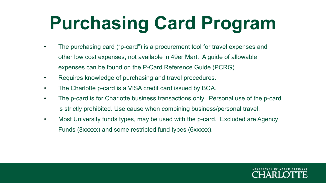### **Purchasing Card Program**

- The purchasing card ("p-card") is a procurement tool for travel expenses and other low cost expenses, not available in 49er Mart. A guide of allowable expenses can be found on the P-Card Reference Guide (PCRG).
- Requires knowledge of purchasing and travel procedures.
- The Charlotte p-card is a VISA credit card issued by BOA.
- The p-card is for Charlotte business transactions only. Personal use of the p-card is strictly prohibited. Use cause when combining business/personal travel.
- Most University funds types, may be used with the p-card. Excluded are Agency Funds (8xxxxx) and some restricted fund types (6xxxxx).

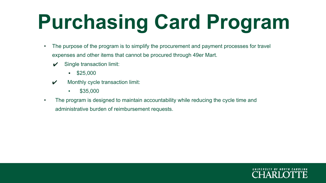# **Purchasing Card Program**

- The purpose of the program is to simplify the procurement and payment processes for travel expenses and other items that cannot be procured through 49er Mart.
	- $\boldsymbol{\checkmark}$  Single transaction limit:
		- \$25,000
	- $\boldsymbol{\mathcal{V}}$  Monthly cycle transaction limit:
		- $\bullet$  \$35,000
- The program is designed to maintain accountability while reducing the cycle time and administrative burden of reimbursement requests.

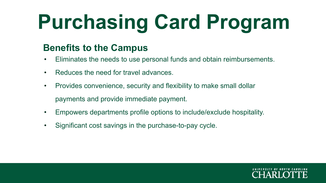# **Purchasing Card Program**

#### **Benefits to the Campus**

- Eliminates the needs to use personal funds and obtain reimbursements.
- Reduces the need for travel advances.
- Provides convenience, security and flexibility to make small dollar payments and provide immediate payment.
- Empowers departments profile options to include/exclude hospitality.
- Significant cost savings in the purchase-to-pay cycle.

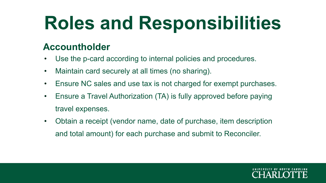#### **Accountholder**

- Use the p-card according to internal policies and procedures.
- Maintain card securely at all times (no sharing).
- Ensure NC sales and use tax is not charged for exempt purchases.
- Ensure a Travel Authorization (TA) is fully approved before paying travel expenses.
- Obtain a receipt (vendor name, date of purchase, item description and total amount) for each purchase and submit to Reconciler.

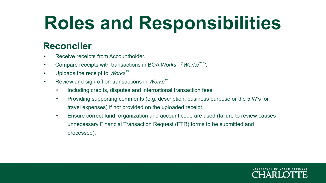#### **Reconciler**

- Receive receipts from Accountholder.
- Compare receipts with transactions in BOA *Works*™ ("*Works*™ ") .
- Uploads the receipt to *Works*™
- Review and sign-off on transactions in *Works*™
	- Including credits, disputes and international transaction fees
	- Providing supporting comments (e.g. description, business purpose or the 5 W's for travel expenses) if not provided on the uploaded receipt.
	- Ensure correct fund, organization and account code are used (failure to review causes unnecessary Financial Transaction Request (FTR) forms to be submitted and processed).

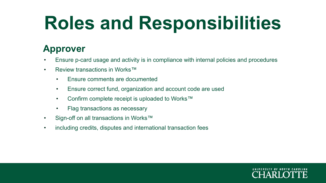#### **Approver**

- Ensure p-card usage and activity is in compliance with internal policies and procedures
- Review transactions in Works™
	- Ensure comments are documented
	- Ensure correct fund, organization and account code are used
	- Confirm complete receipt is uploaded to Works™
	- Flag transactions as necessary
- Sign-off on all transactions in Works™
- including credits, disputes and international transaction fees

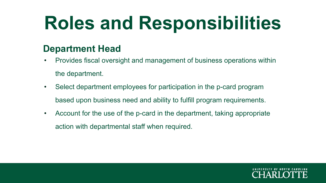#### **Department Head**

- Provides fiscal oversight and management of business operations within the department.
- Select department employees for participation in the p-card program based upon business need and ability to fulfill program requirements.
- Account for the use of the p-card in the department, taking appropriate action with departmental staff when required.

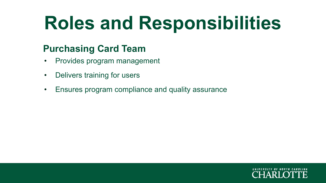### **Purchasing Card Team**

- Provides program management
- Delivers training for users
- Ensures program compliance and quality assurance

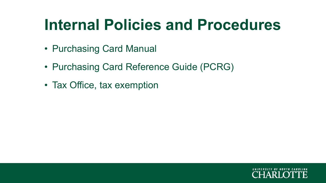### **Internal Policies and Procedures**

- Purchasing Card Manual
- Purchasing Card Reference Guide (PCRG)
- Tax Office, tax exemption

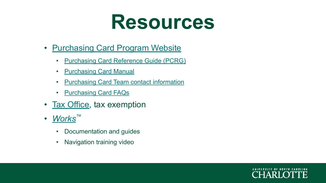

- [Purchasing Card Program Website](https://finance.charlotte.edu/about-us/offices/controllers-office/purchasing-card-program)
	- [Purchasing Card Reference Guide \(PCRG\)](https://finance.charlotte.edu/resources/purchasing-card-program/purchasing-card-reference-guide-pcrg)
	- [Purchasing Card Manual](https://finance.charlotte.edu/resources/purchasing-card-program/purchasing-card-manual)
	- **[Purchasing Card Team contact information](https://finance.charlotte.edu/about-us/offices/controllers-office/purchasing-card-program)**
	- [Purchasing Card FAQs](https://spaces.charlotte.edu/display/FAQ/Purchasing+Card+Program)
- [Tax Office,](https://finance.charlotte.edu/about-us/offices/controllers-office/tax-office) tax exemption
- *• [Works](https://payment2.works.com/works/)*™
	- Documentation and guides
	- Navigation training video